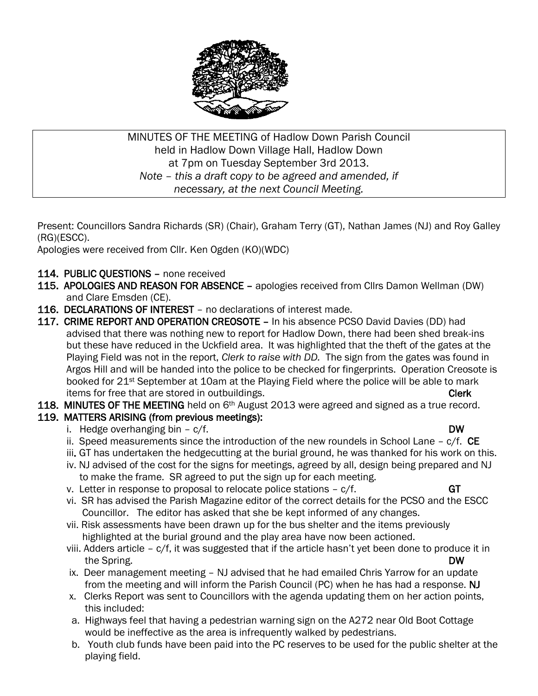

MINUTES OF THE MEETING of Hadlow Down Parish Council held in Hadlow Down Village Hall, Hadlow Down at 7pm on Tuesday September 3rd 2013. *Note – this a draft copy to be agreed and amended, if necessary, at the next Council Meeting.*

Present: Councillors Sandra Richards (SR) (Chair), Graham Terry (GT), Nathan James (NJ) and Roy Galley (RG)(ESCC).

Apologies were received from Cllr. Ken Ogden (KO)(WDC)

- 114. PUBLIC QUESTIONS none received
- 115. APOLOGIES AND REASON FOR ABSENCE apologies received from Cllrs Damon Wellman (DW) and Clare Emsden (CE).
- 116. DECLARATIONS OF INTEREST no declarations of interest made.
- 117. CRIME REPORT AND OPERATION CREOSOTE In his absence PCSO David Davies (DD) had advised that there was nothing new to report for Hadlow Down, there had been shed break-ins but these have reduced in the Uckfield area. It was highlighted that the theft of the gates at the Playing Field was not in the report, *Clerk to raise with DD.* The sign from the gates was found in Argos Hill and will be handed into the police to be checked for fingerprints. Operation Creosote is booked for 21st September at 10am at the Playing Field where the police will be able to mark items for free that are stored in outbuildings. The contract of the contract of the Clerk
- 118. MINUTES OF THE MEETING held on 6<sup>th</sup> August 2013 were agreed and signed as a true record.
- 119. MATTERS ARISING (from previous meetings):
	- i. Hedge overhanging bin c/f. DW
	- ii. Speed measurements since the introduction of the new roundels in School Lane  $c/f$ . CE
	- iii. GT has undertaken the hedgecutting at the burial ground, he was thanked for his work on this.
	- iv. NJ advised of the cost for the signs for meetings, agreed by all, design being prepared and NJ to make the frame. SR agreed to put the sign up for each meeting.
	- v. Letter in response to proposal to relocate police stations  $c/f$ . GT
	- vi. SR has advised the Parish Magazine editor of the correct details for the PCSO and the ESCC Councillor. The editor has asked that she be kept informed of any changes.
	- vii. Risk assessments have been drawn up for the bus shelter and the items previously highlighted at the burial ground and the play area have now been actioned.
	- viii. Adders article c/f, it was suggested that if the article hasn't yet been done to produce it in the Spring. DW
	- ix. Deer management meeting NJ advised that he had emailed Chris Yarrow for an update from the meeting and will inform the Parish Council (PC) when he has had a response. NJ
	- x. Clerks Report was sent to Councillors with the agenda updating them on her action points, this included:
	- a. Highways feel that having a pedestrian warning sign on the A272 near Old Boot Cottage would be ineffective as the area is infrequently walked by pedestrians.
	- b. Youth club funds have been paid into the PC reserves to be used for the public shelter at the playing field.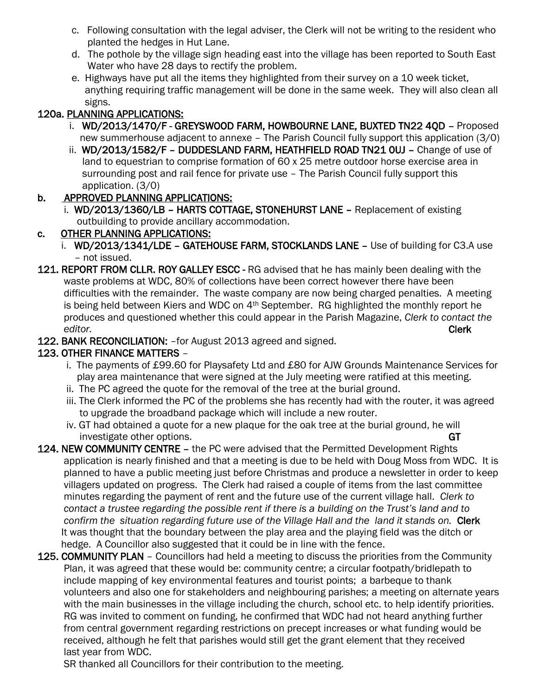- c. Following consultation with the legal adviser, the Clerk will not be writing to the resident who planted the hedges in Hut Lane.
- d. The pothole by the village sign heading east into the village has been reported to South East Water who have 28 days to rectify the problem.
- e. Highways have put all the items they highlighted from their survey on a 10 week ticket, anything requiring traffic management will be done in the same week. They will also clean all signs.

# 120a. PLANNING APPLICATIONS:

- i. WD/2013/1470/F GREYSWOOD FARM, HOWBOURNE LANE, BUXTED TN22 4QD Proposed new summerhouse adjacent to annexe – The Parish Council fully support this application (3/0)
- ii. WD/2013/1582/F DUDDESLAND FARM, HEATHFIELD ROAD TN21 0UJ Change of use of land to equestrian to comprise formation of 60 x 25 metre outdoor horse exercise area in surrounding post and rail fence for private use – The Parish Council fully support this application. (3/0)

## b. APPROVED PLANNING APPLICATIONS:

 i. WD/2013/1360/LB – HARTS COTTAGE, STONEHURST LANE – Replacement of existing outbuilding to provide ancillary accommodation.

## c. OTHER PLANNING APPLICATIONS:

- i. WD/2013/1341/LDE GATEHOUSE FARM, STOCKLANDS LANE Use of building for C3.A use – not issued.
- 121. REPORT FROM CLLR. ROY GALLEY ESCC RG advised that he has mainly been dealing with the waste problems at WDC, 80% of collections have been correct however there have been difficulties with the remainder. The waste company are now being charged penalties. A meeting is being held between Kiers and WDC on 4th September. RG highlighted the monthly report he produces and questioned whether this could appear in the Parish Magazine, *Clerk to contact the editor.* Clerk
- 122. BANK RECONCILIATION: for August 2013 agreed and signed.

# 123. OTHER FINANCE MATTERS –

- i. The payments of £99.60 for Playsafety Ltd and £80 for AJW Grounds Maintenance Services for play area maintenance that were signed at the July meeting were ratified at this meeting.
- ii. The PC agreed the quote for the removal of the tree at the burial ground.
- iii. The Clerk informed the PC of the problems she has recently had with the router, it was agreed to upgrade the broadband package which will include a new router.
- iv. GT had obtained a quote for a new plaque for the oak tree at the burial ground, he will investigate other options. GT and the control of the control of the control of the control of the control of the control of the control of the control of the control of the control of the control of the control of the cont
- 124. NEW COMMUNITY CENTRE the PC were advised that the Permitted Development Rights application is nearly finished and that a meeting is due to be held with Doug Moss from WDC. It is planned to have a public meeting just before Christmas and produce a newsletter in order to keep villagers updated on progress. The Clerk had raised a couple of items from the last committee minutes regarding the payment of rent and the future use of the current village hall. *Clerk to contact a trustee regarding the possible rent if there is a building on the Trust's land and to confirm the situation regarding future use of the Village Hall and the land it stands on.* Clerk It was thought that the boundary between the play area and the playing field was the ditch or hedge. A Councillor also suggested that it could be in line with the fence.
- 125. COMMUNITY PLAN Councillors had held a meeting to discuss the priorities from the Community Plan, it was agreed that these would be: community centre; a circular footpath/bridlepath to include mapping of key environmental features and tourist points; a barbeque to thank volunteers and also one for stakeholders and neighbouring parishes; a meeting on alternate years with the main businesses in the village including the church, school etc. to help identify priorities. RG was invited to comment on funding, he confirmed that WDC had not heard anything further from central government regarding restrictions on precept increases or what funding would be received, although he felt that parishes would still get the grant element that they received last year from WDC.

SR thanked all Councillors for their contribution to the meeting.